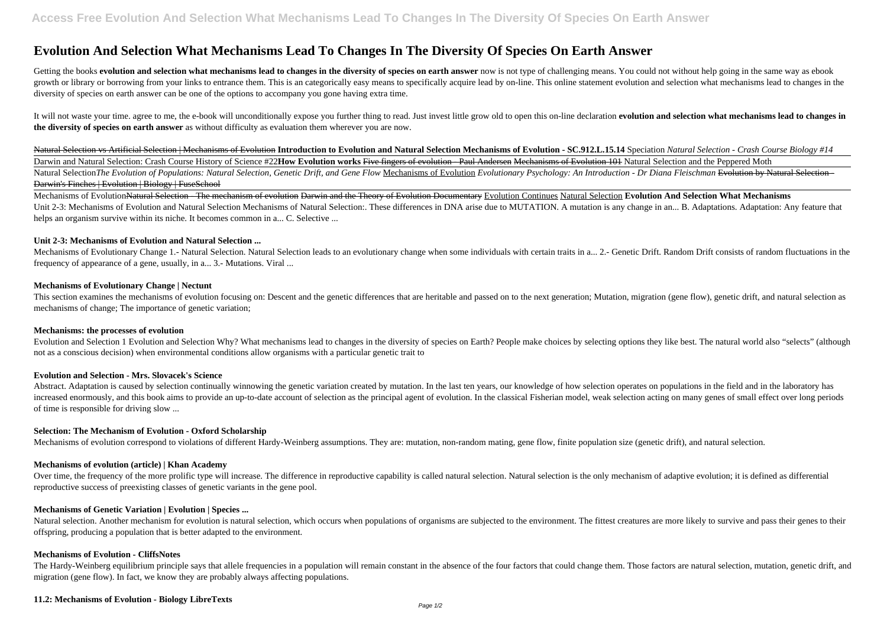# **Evolution And Selection What Mechanisms Lead To Changes In The Diversity Of Species On Earth Answer**

Getting the books **evolution and selection what mechanisms lead to changes in the diversity of species on earth answer now is not type of challenging means. You could not without help going in the same way as ebook** growth or library or borrowing from your links to entrance them. This is an categorically easy means to specifically acquire lead by on-line. This online statement evolution and selection what mechanisms lead to changes in diversity of species on earth answer can be one of the options to accompany you gone having extra time.

It will not waste your time, agree to me, the e-book will unconditionally expose you further thing to read. Just invest little grow old to open this on-line declaration evolution and selection what mechanisms lead to chang **the diversity of species on earth answer** as without difficulty as evaluation them wherever you are now.

Natural Selection vs Artificial Selection | Mechanisms of Evolution Introduction to Evolution and Natural Selection Mechanisms of Evolution - SC.912.L.15.14 Speciation Natural Selection - Crash Course Biology #14 Darwin and Natural Selection: Crash Course History of Science #22**How Evolution works** Five fingers of evolution - Paul Andersen Mechanisms of Evolution 101 Natural Selection and the Peppered Moth Natural SelectionThe Evolution of Populations: Natural Selection, Genetic Drift, and Gene Flow Mechanisms of Evolutionary Psychology: An Introduction - Dr Diana Fleischman Evolution by Natural Selection-Darwin's Finches | Evolution | Biology | FuseSchool

Mechanisms of EvolutionNatural Selection - The mechanism of evolution Darwin and the Theory of Evolution Documentary Evolution Continues Natural Selection **Evolution And Selection What Mechanisms** Unit 2-3: Mechanisms of Evolution and Natural Selection Mechanisms of Natural Selection:. These differences in DNA arise due to MUTATION. A mutation is any change in an... B. Adaptations. Adaptation: Any feature that helps an organism survive within its niche. It becomes common in a... C. Selective ...

Mechanisms of Evolutionary Change 1.- Natural Selection. Natural Selection leads to an evolutionary change when some individuals with certain traits in a... 2.- Genetic Drift. Random Drift consists of random fluctuations i frequency of appearance of a gene, usually, in a... 3.- Mutations. Viral ...

This section examines the mechanisms of evolution focusing on: Descent and the genetic differences that are heritable and passed on to the next generation; Mutation, migration (gene flow), genetic drift, and natural select mechanisms of change; The importance of genetic variation;

Abstract. Adaptation is caused by selection continually winnowing the genetic variation created by mutation. In the last ten years, our knowledge of how selection operates on populations in the field and in the laboratory increased enormously, and this book aims to provide an up-to-date account of selection as the principal agent of evolution. In the classical Fisherian model, weak selection acting on many genes of small effect over long pe of time is responsible for driving slow ...

Over time, the frequency of the more prolific type will increase. The difference in reproductive capability is called natural selection. Natural selection is the only mechanism of adaptive evolution; it is defined as diffe reproductive success of preexisting classes of genetic variants in the gene pool.

# **Unit 2-3: Mechanisms of Evolution and Natural Selection ...**

Natural selection. Another mechanism for evolution is natural selection, which occurs when populations of organisms are subjected to the environment. The fittest creatures are more likely to survive and pass their genes to offspring, producing a population that is better adapted to the environment.

The Hardy-Weinberg equilibrium principle says that allele frequencies in a population will remain constant in the absence of the four factors that could change them. Those factors are natural selection, mutation, genetic d migration (gene flow). In fact, we know they are probably always affecting populations.

# **Mechanisms of Evolutionary Change | Nectunt**

# **Mechanisms: the processes of evolution**

Evolution and Selection 1 Evolution and Selection Why? What mechanisms lead to changes in the diversity of species on Earth? People make choices by selecting options they like best. The natural world also "selects" (although not as a conscious decision) when environmental conditions allow organisms with a particular genetic trait to

# **Evolution and Selection - Mrs. Slovacek's Science**

# **Selection: The Mechanism of Evolution - Oxford Scholarship**

Mechanisms of evolution correspond to violations of different Hardy-Weinberg assumptions. They are: mutation, non-random mating, gene flow, finite population size (genetic drift), and natural selection.

# **Mechanisms of evolution (article) | Khan Academy**

# **Mechanisms of Genetic Variation | Evolution | Species ...**

# **Mechanisms of Evolution - CliffsNotes**

# **11.2: Mechanisms of Evolution - Biology LibreTexts**